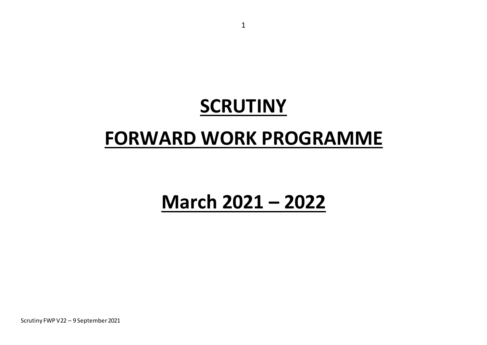# **SCRUTINY**

## **FORWARD WORK PROGRAMME**

## **March 2021 – 2022**

Scrutiny FWP V22 – 9 September 2021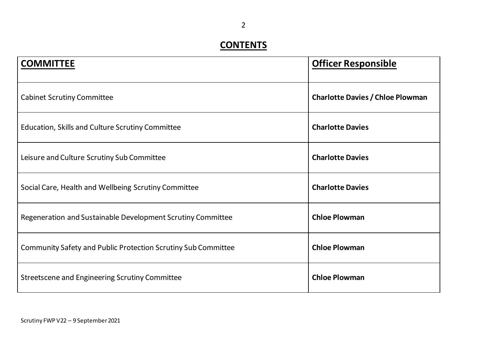#### **CONTENTS**

| <b>COMMITTEE</b>                                                     | <b>Officer Responsible</b>              |
|----------------------------------------------------------------------|-----------------------------------------|
| <b>Cabinet Scrutiny Committee</b>                                    | <b>Charlotte Davies / Chloe Plowman</b> |
| Education, Skills and Culture Scrutiny Committee                     | <b>Charlotte Davies</b>                 |
| Leisure and Culture Scrutiny Sub Committee                           | <b>Charlotte Davies</b>                 |
| Social Care, Health and Wellbeing Scrutiny Committee                 | <b>Charlotte Davies</b>                 |
| Regeneration and Sustainable Development Scrutiny Committee          | <b>Chloe Plowman</b>                    |
| <b>Community Safety and Public Protection Scrutiny Sub Committee</b> | <b>Chloe Plowman</b>                    |
| Streetscene and Engineering Scrutiny Committee                       | <b>Chloe Plowman</b>                    |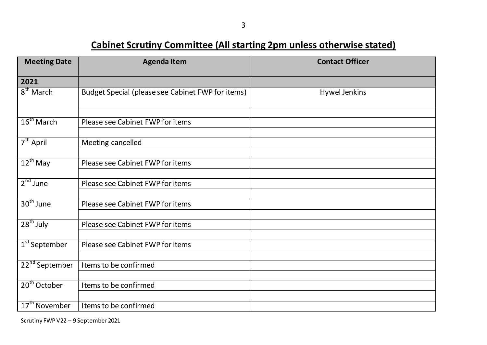**Cabinet Scrutiny Committee (All starting 2pm unless otherwise stated)**

| <b>Meeting Date</b>        | <b>Agenda Item</b>                                | <b>Contact Officer</b> |
|----------------------------|---------------------------------------------------|------------------------|
| 2021                       |                                                   |                        |
| 8 <sup>th</sup> March      | Budget Special (please see Cabinet FWP for items) | <b>Hywel Jenkins</b>   |
| $16^{\text{th}}$ March     | Please see Cabinet FWP for items                  |                        |
| $7th$ April                | Meeting cancelled                                 |                        |
| $12^{th}$ May              | Please see Cabinet FWP for items                  |                        |
| $2nd$ June                 | Please see Cabinet FWP for items                  |                        |
| $30th$ June                | Please see Cabinet FWP for items                  |                        |
| $28th$ July                | Please see Cabinet FWP for items                  |                        |
| $1st$ September            | Please see Cabinet FWP for items                  |                        |
| 22 <sup>nd</sup> September | Items to be confirmed                             |                        |
| 20 <sup>th</sup> October   | Items to be confirmed                             |                        |
| 17 <sup>th</sup> November  | Items to be confirmed                             |                        |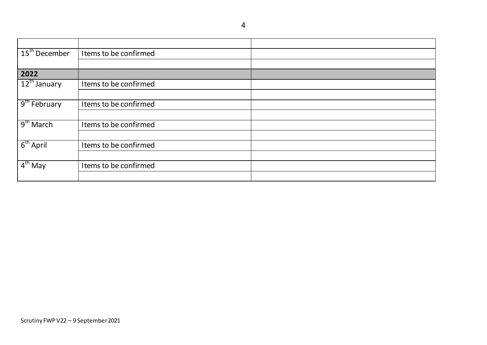15<sup>th</sup> December | Items to be confirmed **2022** Items to be confirmed 9<sup>th</sup> February Items to be confirmed  $9<sup>th</sup> March$ Items to be confirmed  $6<sup>th</sup>$  April Items to be confirmed  $4<sup>th</sup>$  May Items to be confirmed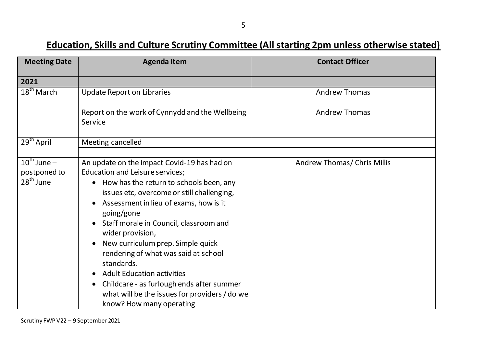#### **Education, Skills and Culture Scrutiny Committee (All starting 2pm unless otherwise stated)**

| <b>Meeting Date</b>                                    | <b>Agenda Item</b>                                                                                                                                                                                                                                                                                                                                                                                                                                                                                                                                                   | <b>Contact Officer</b>      |
|--------------------------------------------------------|----------------------------------------------------------------------------------------------------------------------------------------------------------------------------------------------------------------------------------------------------------------------------------------------------------------------------------------------------------------------------------------------------------------------------------------------------------------------------------------------------------------------------------------------------------------------|-----------------------------|
| 2021                                                   |                                                                                                                                                                                                                                                                                                                                                                                                                                                                                                                                                                      |                             |
| 18 <sup>th</sup> March                                 | <b>Update Report on Libraries</b>                                                                                                                                                                                                                                                                                                                                                                                                                                                                                                                                    | <b>Andrew Thomas</b>        |
|                                                        | Report on the work of Cynnydd and the Wellbeing<br>Service                                                                                                                                                                                                                                                                                                                                                                                                                                                                                                           | <b>Andrew Thomas</b>        |
| $29th$ April                                           | Meeting cancelled                                                                                                                                                                                                                                                                                                                                                                                                                                                                                                                                                    |                             |
| $10^{\text{th}}$ June –<br>postponed to<br>$28th$ June | An update on the impact Covid-19 has had on<br>Education and Leisure services;<br>How has the return to schools been, any<br>$\bullet$<br>issues etc, overcome or still challenging,<br>Assessment in lieu of exams, how is it<br>going/gone<br>Staff morale in Council, classroom and<br>wider provision,<br>New curriculum prep. Simple quick<br>rendering of what was said at school<br>standards.<br><b>Adult Education activities</b><br>Childcare - as furlough ends after summer<br>what will be the issues for providers / do we<br>know? How many operating | Andrew Thomas/ Chris Millis |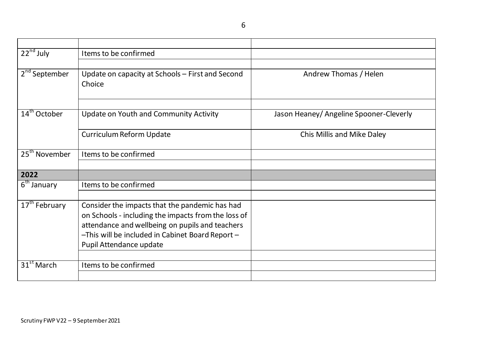6

| $22nd$ July               | Items to be confirmed                               |                                         |
|---------------------------|-----------------------------------------------------|-----------------------------------------|
|                           |                                                     |                                         |
| 2 <sup>nd</sup> September | Update on capacity at Schools - First and Second    | Andrew Thomas / Helen                   |
|                           | Choice                                              |                                         |
|                           |                                                     |                                         |
| $14th$ October            |                                                     |                                         |
|                           | Update on Youth and Community Activity              | Jason Heaney/ Angeline Spooner-Cleverly |
|                           | <b>Curriculum Reform Update</b>                     | Chis Millis and Mike Daley              |
|                           |                                                     |                                         |
| 25 <sup>th</sup> November | Items to be confirmed                               |                                         |
|                           |                                                     |                                         |
| 2022                      |                                                     |                                         |
| $6th$ January             | Items to be confirmed                               |                                         |
|                           |                                                     |                                         |
| $17th$ February           | Consider the impacts that the pandemic has had      |                                         |
|                           | on Schools - including the impacts from the loss of |                                         |
|                           | attendance and wellbeing on pupils and teachers     |                                         |
|                           | -This will be included in Cabinet Board Report -    |                                         |
|                           | Pupil Attendance update                             |                                         |
| $31^{st}$ March           | Items to be confirmed                               |                                         |
|                           |                                                     |                                         |
|                           |                                                     |                                         |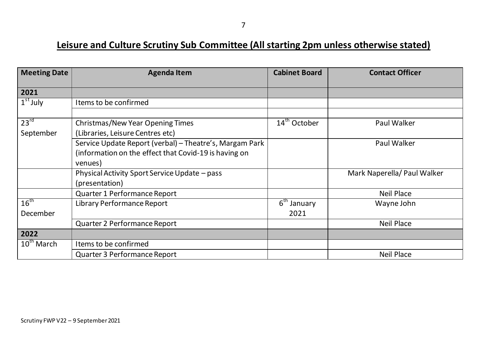#### **Leisure and Culture Scrutiny Sub Committee (All starting 2pm unless otherwise stated)**

| <b>Meeting Date</b> | <b>Agenda Item</b>                                      | <b>Cabinet Board</b>     | <b>Contact Officer</b>      |
|---------------------|---------------------------------------------------------|--------------------------|-----------------------------|
| 2021                |                                                         |                          |                             |
| $1st$ July          | Items to be confirmed                                   |                          |                             |
|                     |                                                         |                          |                             |
| $23^{rd}$           | <b>Christmas/New Year Opening Times</b>                 | $14^{\text{th}}$ October | Paul Walker                 |
| September           | (Libraries, Leisure Centres etc)                        |                          |                             |
|                     | Service Update Report (verbal) - Theatre's, Margam Park |                          | Paul Walker                 |
|                     | (information on the effect that Covid-19 is having on   |                          |                             |
|                     | venues)                                                 |                          |                             |
|                     | Physical Activity Sport Service Update – pass           |                          | Mark Naperella/ Paul Walker |
|                     | (presentation)                                          |                          |                             |
|                     | <b>Quarter 1 Performance Report</b>                     |                          | <b>Neil Place</b>           |
| $16^{\text{th}}$    | <b>Library Performance Report</b>                       | $6th$ January            | Wayne John                  |
| December            |                                                         | 2021                     |                             |
|                     | Quarter 2 Performance Report                            |                          | <b>Neil Place</b>           |
| 2022                |                                                         |                          |                             |
| $10^{th}$ March     | Items to be confirmed                                   |                          |                             |
|                     | Quarter 3 Performance Report                            |                          | <b>Neil Place</b>           |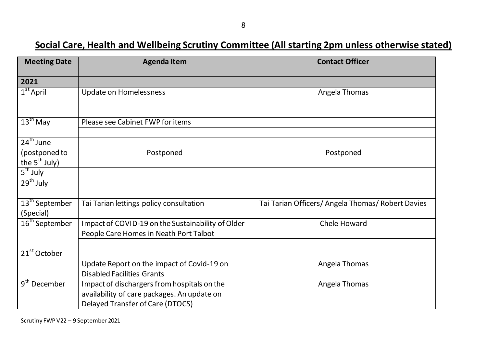#### **Social Care, Health and Wellbeing Scrutiny Committee (All starting 2pm unless otherwise stated)**

| <b>Meeting Date</b>                             | <b>Agenda Item</b>                                                                                                             | <b>Contact Officer</b>                            |
|-------------------------------------------------|--------------------------------------------------------------------------------------------------------------------------------|---------------------------------------------------|
| 2021                                            |                                                                                                                                |                                                   |
| $1st$ April                                     | <b>Update on Homelessness</b>                                                                                                  | Angela Thomas                                     |
| $13th$ May                                      | Please see Cabinet FWP for items                                                                                               |                                                   |
| $24th$ June<br>(postponed to<br>the $5th$ July) | Postponed                                                                                                                      | Postponed                                         |
| $5th$ July                                      |                                                                                                                                |                                                   |
| $29th$ July                                     |                                                                                                                                |                                                   |
| 13 <sup>th</sup> September<br>(Special)         | Tai Tarian lettings policy consultation                                                                                        | Tai Tarian Officers/ Angela Thomas/ Robert Davies |
| 16 <sup>th</sup> September                      | Impact of COVID-19 on the Sustainability of Older<br>People Care Homes in Neath Port Talbot                                    | Chele Howard                                      |
| $21st$ October                                  |                                                                                                                                |                                                   |
|                                                 | Update Report on the impact of Covid-19 on<br><b>Disabled Facilities Grants</b>                                                | Angela Thomas                                     |
| $9th$ December                                  | Impact of dischargers from hospitals on the<br>availability of care packages. An update on<br>Delayed Transfer of Care (DTOCS) | Angela Thomas                                     |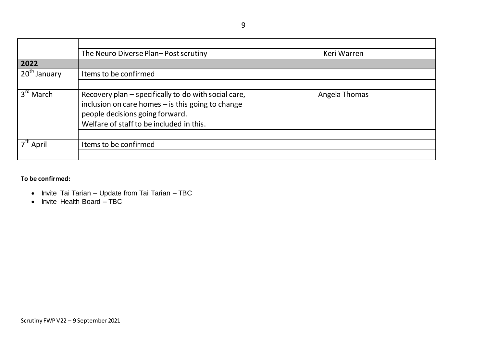9

|                       | The Neuro Diverse Plan-Post scrutiny                                                                                                                                                     | Keri Warren   |
|-----------------------|------------------------------------------------------------------------------------------------------------------------------------------------------------------------------------------|---------------|
| 2022                  |                                                                                                                                                                                          |               |
| $20th$ January        | Items to be confirmed                                                                                                                                                                    |               |
|                       |                                                                                                                                                                                          |               |
| $3rd$ March           | Recovery plan – specifically to do with social care,<br>inclusion on care homes - is this going to change<br>people decisions going forward.<br>Welfare of staff to be included in this. | Angela Thomas |
| 7 <sup>th</sup> April | Items to be confirmed                                                                                                                                                                    |               |

**To be confirmed:**

- Invite Tai Tarian Update from Tai Tarian TBC
- Invite Health Board TBC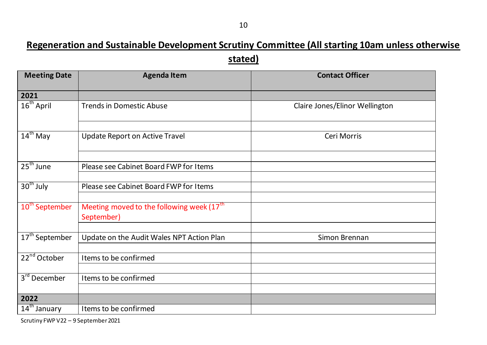### **Regeneration and Sustainable Development Scrutiny Committee (All starting 10am unless otherwise stated)**

| <b>Agenda Item</b>                        | <b>Contact Officer</b>                                                                                                                  |
|-------------------------------------------|-----------------------------------------------------------------------------------------------------------------------------------------|
|                                           |                                                                                                                                         |
| <b>Trends in Domestic Abuse</b>           | Claire Jones/Elinor Wellington                                                                                                          |
|                                           |                                                                                                                                         |
|                                           | Ceri Morris                                                                                                                             |
|                                           |                                                                                                                                         |
| Please see Cabinet Board FWP for Items    |                                                                                                                                         |
|                                           |                                                                                                                                         |
| Please see Cabinet Board FWP for Items    |                                                                                                                                         |
|                                           |                                                                                                                                         |
|                                           |                                                                                                                                         |
|                                           |                                                                                                                                         |
| Update on the Audit Wales NPT Action Plan | Simon Brennan                                                                                                                           |
|                                           |                                                                                                                                         |
| Items to be confirmed                     |                                                                                                                                         |
|                                           |                                                                                                                                         |
|                                           |                                                                                                                                         |
|                                           |                                                                                                                                         |
| Items to be confirmed                     |                                                                                                                                         |
|                                           | <b>Update Report on Active Travel</b><br>Meeting moved to the following week (17 <sup>th</sup> )<br>September)<br>Items to be confirmed |

Scrutiny FWP V22 – 9 September 2021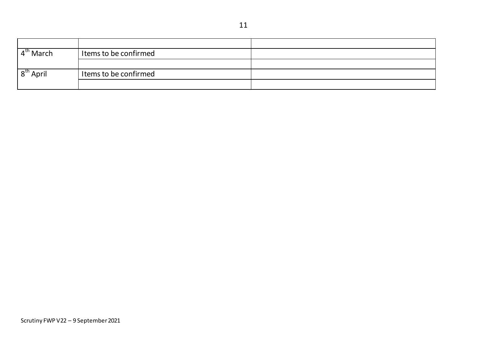$4<sup>th</sup> March$ Items to be confirmed  $8<sup>th</sup>$  April Items to be confirmed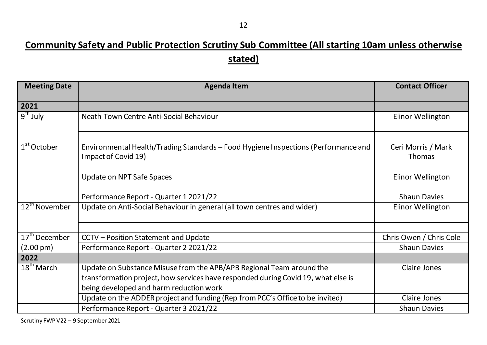### **Community Safety and Public Protection Scrutiny Sub Committee (All starting 10am unless otherwise stated)**

| <b>Meeting Date</b>       | <b>Agenda Item</b>                                                                                        | <b>Contact Officer</b>              |
|---------------------------|-----------------------------------------------------------------------------------------------------------|-------------------------------------|
| 2021                      |                                                                                                           |                                     |
| $9th$ July                | Neath Town Centre Anti-Social Behaviour                                                                   | Elinor Wellington                   |
|                           |                                                                                                           |                                     |
| $1st$ October             | Environmental Health/Trading Standards - Food Hygiene Inspections (Performance and<br>Impact of Covid 19) | Ceri Morris / Mark<br><b>Thomas</b> |
|                           | <b>Update on NPT Safe Spaces</b>                                                                          | Elinor Wellington                   |
|                           | Performance Report - Quarter 1 2021/22                                                                    | <b>Shaun Davies</b>                 |
| 12 <sup>th</sup> November | Update on Anti-Social Behaviour in general (all town centres and wider)                                   | Elinor Wellington                   |
|                           |                                                                                                           |                                     |
| 17 <sup>th</sup> December | CCTV - Position Statement and Update                                                                      | Chris Owen / Chris Cole             |
| $(2.00 \,\mathrm{pm})$    | Performance Report - Quarter 2 2021/22                                                                    | <b>Shaun Davies</b>                 |
| 2022                      |                                                                                                           |                                     |
| $18th$ March              | Update on Substance Misuse from the APB/APB Regional Team around the                                      | <b>Claire Jones</b>                 |
|                           | transformation project, how services have responded during Covid 19, what else is                         |                                     |
|                           | being developed and harm reduction work                                                                   |                                     |
|                           | Update on the ADDER project and funding (Rep from PCC's Office to be invited)                             | <b>Claire Jones</b>                 |
|                           | Performance Report - Quarter 3 2021/22                                                                    | <b>Shaun Davies</b>                 |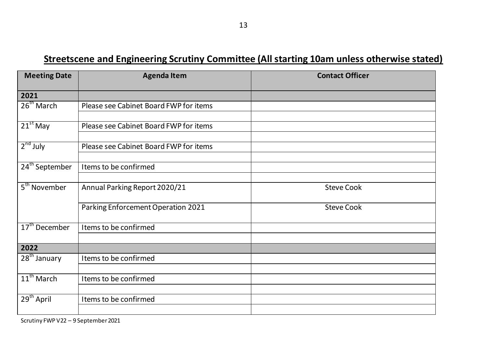#### **Streetscene and Engineering Scrutiny Committee (All starting 10am unless otherwise stated)**

| <b>Meeting Date</b>        | <b>Agenda Item</b>                     | <b>Contact Officer</b> |
|----------------------------|----------------------------------------|------------------------|
| 2021                       |                                        |                        |
| 26 <sup>th</sup> March     | Please see Cabinet Board FWP for items |                        |
| $21st$ May                 | Please see Cabinet Board FWP for items |                        |
| $2nd$ July                 | Please see Cabinet Board FWP for items |                        |
| 24 <sup>th</sup> September | Items to be confirmed                  |                        |
| 5 <sup>th</sup> November   | Annual Parking Report 2020/21          | <b>Steve Cook</b>      |
|                            | Parking Enforcement Operation 2021     | <b>Steve Cook</b>      |
| 17 <sup>th</sup> December  | Items to be confirmed                  |                        |
| 2022                       |                                        |                        |
| $28th$ January             | Items to be confirmed                  |                        |
| $11th$ March               | Items to be confirmed                  |                        |
| 29 <sup>th</sup> April     | Items to be confirmed                  |                        |
|                            |                                        |                        |